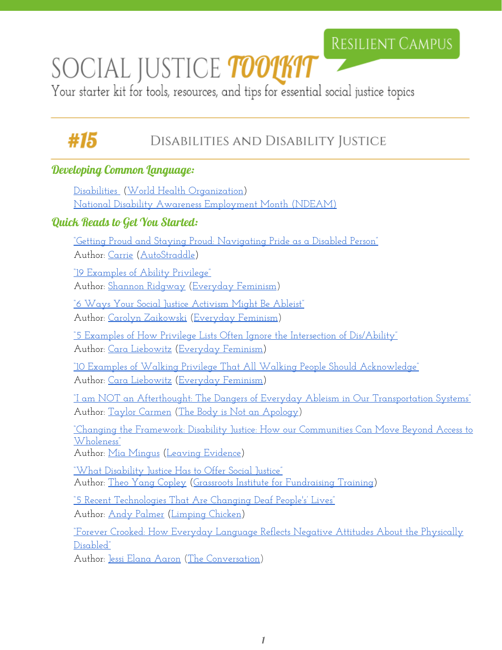## RESILIENT CAMPUS

# SOCIAL JUSTICE *TOOLKIT*

Your starter kit for tools, resources, and tips for essential social justice topics

#### #15 DISABILITIES AND DISABILITY JUSTICE

#### Developing Common Language:

[Disabilities](http://www.who.int/topics/disabilities/en/) [\(World Health](http://www.who.int/en/) Organization) [National Disability Awareness Employment Month](https://www.dol.gov/odep/topics/ndeam/) (NDEAM)

#### Quick Reads to Get You Started:

["Getting Proud and Staying Proud:](http://www.autostraddle.com/getting-proud-and-staying-proud-navigating-pride-as-a-disabled-person-343209/) Navigating Pride as a Disabled Person" Author: [Carrie](http://www.autostraddle.com/author/wadeacar/) [\(AutoStraddle\)](http://www.autostraddle.com/)

["19 Examples of Ability](http://everydayfeminism.com/2013/03/19-examples-of-ability-privilege/) Privilege" Author: [Shannon Ridgway](http://everydayfeminism.com/author/shannonr/) [\(Everyday](http://everydayfeminism.com/) Feminism)

["6 Ways Your Social Justice](http://everydayfeminism.com/2016/09/social-justice-activism-ableist/) Activism Might Be Ableist" Author: [Carolyn Zaikowski](http://everydayfeminism.com/author/carolynz/) [\(Everyday](http://everydayfeminism.com/) Feminism)

["5 Examples of How Privilege](http://everydayfeminism.com/2016/02/privilege-lists-and-disability/) Lists Often Ignore the Intersection of Dis/Ability" Author: [Cara Liebowitz](http://everydayfeminism.com/author/caral/) ([Everyday](http://everydayfeminism.com/) Feminism)

["10 Examples of Walking Privilege](http://everydayfeminism.com/2015/12/examples-walking-privilege/) That All Walking People Should Acknowledge" Author: [Cara Liebowitz](http://everydayfeminism.com/author/caral/) ([Everyday](http://everydayfeminism.com/) Feminism)

["I am NOT an Afterthought:](https://thebodyisnotanapology.com/magazine/disability-transportation/) The Dangers of Everyday Ableism in Our Transportation Systems" Author: [Taylor Carmen](https://thebodyisnotanapology.com/magazine/author/tlc090192/) (The Body [is Not an](https://thebodyisnotanapology.com/) Apology)

["Changing the Framework:](https://leavingevidence.wordpress.com/2011/02/12/changing-the-framework-disability-justice/) Disability Justice: How our Communities Can Move Beyond Access to [Wholeness"](https://leavingevidence.wordpress.com/2011/02/12/changing-the-framework-disability-justice/)

Author: [Mia Mingus](https://leavingevidence.wordpress.com/about-2/) [\(Leaving Evidence\)](https://leavingevidence.wordpress.com/)

["What Disability Justice](http://www.grassrootsfundraising.org/2011/11/11-3-what-disability-justice-has-to-offer-social-justice-by-theo-yang-copley/) Has to Offer Social Justice" Author: [Theo Yang Copley](http://www.grassrootsfundraising.org/author/theoyangcopley/) (Grassroots Institute for [Fundraising Training\)](http://www.grassrootsfundraising.org/)

["5 Recent Technologies That Are](http://limpingchicken.com/2014/10/29/technology-deaf/) Changing Deaf People's' Lives" Author: [Andy Palmer](http://limpingchicken.com/category/andy-palmer/) ([Limping Chicken\)](http://limpingchicken.com/)

["Forever Crooked: How Everyday](http://theconversation.com/forever-crooked-how-everyday-language-reflects-negative-attitudes-about-the-physically-disabled-38881) Language Reflects Negative Attitudes About the Physically [Disabled"](http://theconversation.com/forever-crooked-how-everyday-language-reflects-negative-attitudes-about-the-physically-disabled-38881)

Author: [Jessi Elana Aaron](http://theconversation.com/profiles/jessi-elana-aaron-159195) (The [Conversation](http://theconversation.com/us))